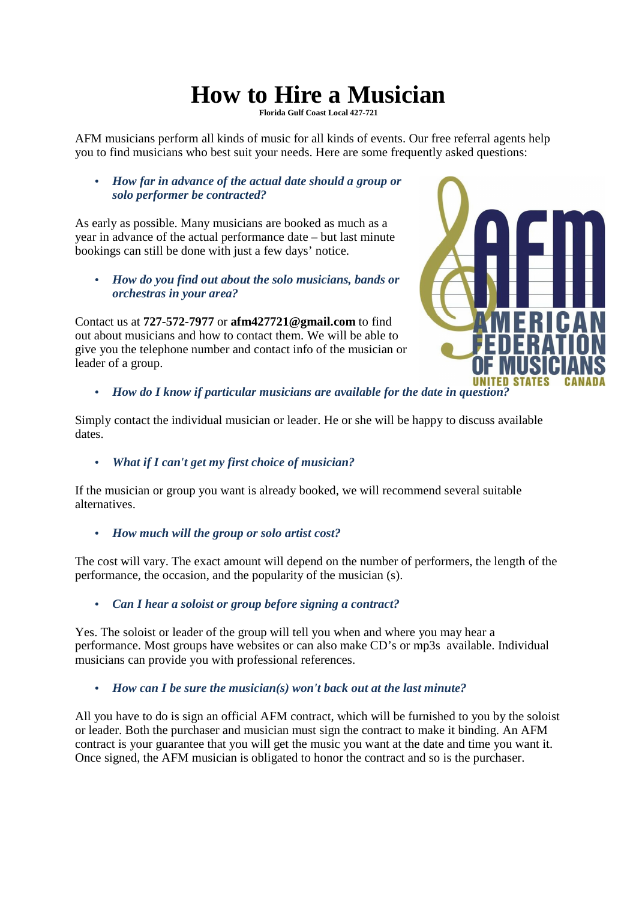## **How to Hire a Musician**

**Florida Gulf Coast Local 427-721** 

AFM musicians perform all kinds of music for all kinds of events. Our free referral agents help you to find musicians who best suit your needs. Here are some frequently asked questions:

• *How far in advance of the actual date should a group or solo performer be contracted?* 

As early as possible. Many musicians are booked as much as a year in advance of the actual performance date – but last minute bookings can still be done with just a few days' notice.

• *How do you find out about the solo musicians, bands or orchestras in your area?* 

Contact us at **727-572-7977** or **afm427721@gmail.com** to find out about musicians and how to contact them. We will be able to give you the telephone number and contact info of the musician or leader of a group.



• *How do I know if particular musicians are available for the date in question?* 

Simply contact the individual musician or leader. He or she will be happy to discuss available dates.

• *What if I can't get my first choice of musician?* 

If the musician or group you want is already booked, we will recommend several suitable alternatives.

• *How much will the group or solo artist cost?* 

The cost will vary. The exact amount will depend on the number of performers, the length of the performance, the occasion, and the popularity of the musician (s).

• *Can I hear a soloist or group before signing a contract?* 

Yes. The soloist or leader of the group will tell you when and where you may hear a performance. Most groups have websites or can also make CD's or mp3s available. Individual musicians can provide you with professional references.

• *How can I be sure the musician(s) won't back out at the last minute?* 

All you have to do is sign an official AFM contract, which will be furnished to you by the soloist or leader. Both the purchaser and musician must sign the contract to make it binding. An AFM contract is your guarantee that you will get the music you want at the date and time you want it. Once signed, the AFM musician is obligated to honor the contract and so is the purchaser.